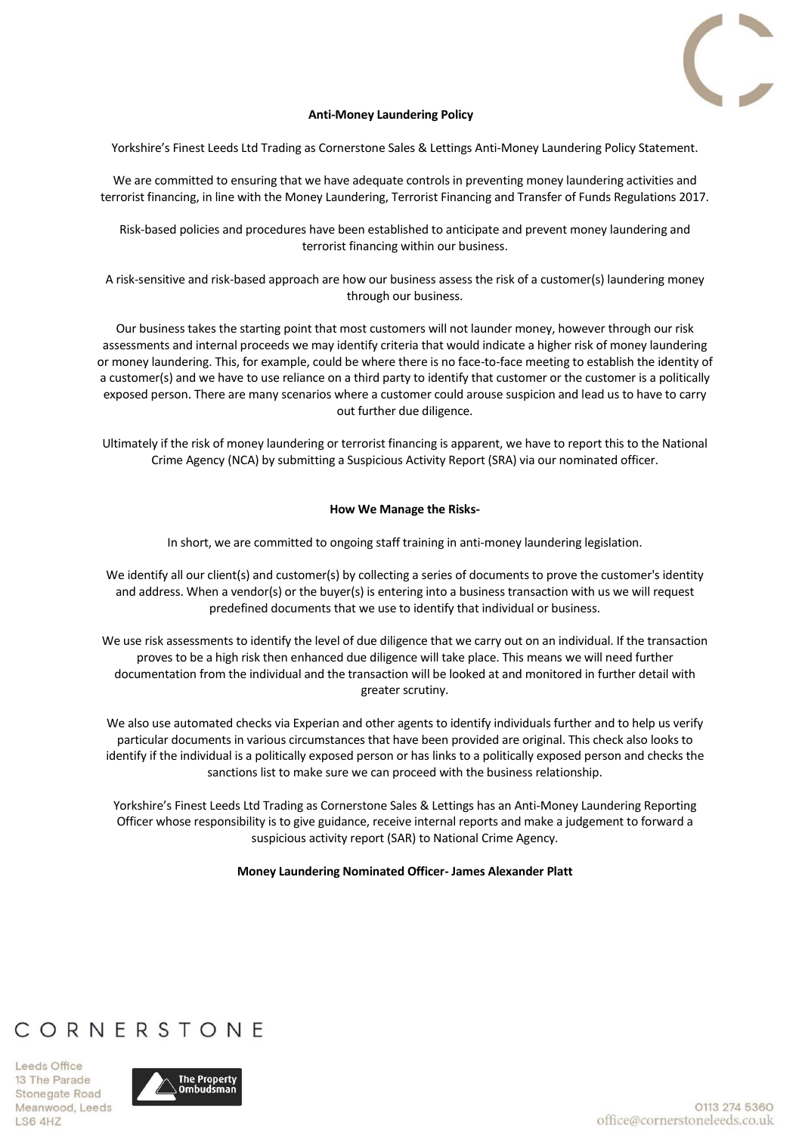

### **Anti-Money Laundering Policy**

Yorkshire's Finest Leeds Ltd Trading as Cornerstone Sales & Lettings Anti-Money Laundering Policy Statement.

We are committed to ensuring that we have adequate controls in preventing money laundering activities and terrorist financing, in line with the Money Laundering, Terrorist Financing and Transfer of Funds Regulations 2017.

Risk-based policies and procedures have been established to anticipate and prevent money laundering and terrorist financing within our business.

A risk-sensitive and risk-based approach are how our business assess the risk of a customer(s) laundering money through our business.

Our business takes the starting point that most customers will not launder money, however through our risk assessments and internal proceeds we may identify criteria that would indicate a higher risk of money laundering or money laundering. This, for example, could be where there is no face-to-face meeting to establish the identity of a customer(s) and we have to use reliance on a third party to identify that customer or the customer is a politically exposed person. There are many scenarios where a customer could arouse suspicion and lead us to have to carry out further due diligence.

Ultimately if the risk of money laundering or terrorist financing is apparent, we have to report this to the National Crime Agency (NCA) by submitting a Suspicious Activity Report (SRA) via our nominated officer.

### **How We Manage the Risks-**

In short, we are committed to ongoing staff training in anti-money laundering legislation.

We identify all our client(s) and customer(s) by collecting a series of documents to prove the customer's identity and address. When a vendor(s) or the buyer(s) is entering into a business transaction with us we will request predefined documents that we use to identify that individual or business.

We use risk assessments to identify the level of due diligence that we carry out on an individual. If the transaction proves to be a high risk then enhanced due diligence will take place. This means we will need further documentation from the individual and the transaction will be looked at and monitored in further detail with greater scrutiny.

We also use automated checks via Experian and other agents to identify individuals further and to help us verify particular documents in various circumstances that have been provided are original. This check also looks to identify if the individual is a politically exposed person or has links to a politically exposed person and checks the sanctions list to make sure we can proceed with the business relationship.

Yorkshire's Finest Leeds Ltd Trading as Cornerstone Sales & Lettings has an Anti-Money Laundering Reporting Officer whose responsibility is to give guidance, receive internal reports and make a judgement to forward a suspicious activity report (SAR) to National Crime Agency.

### **Money Laundering Nominated Officer- James Alexander Platt**

# CORNERSTONE

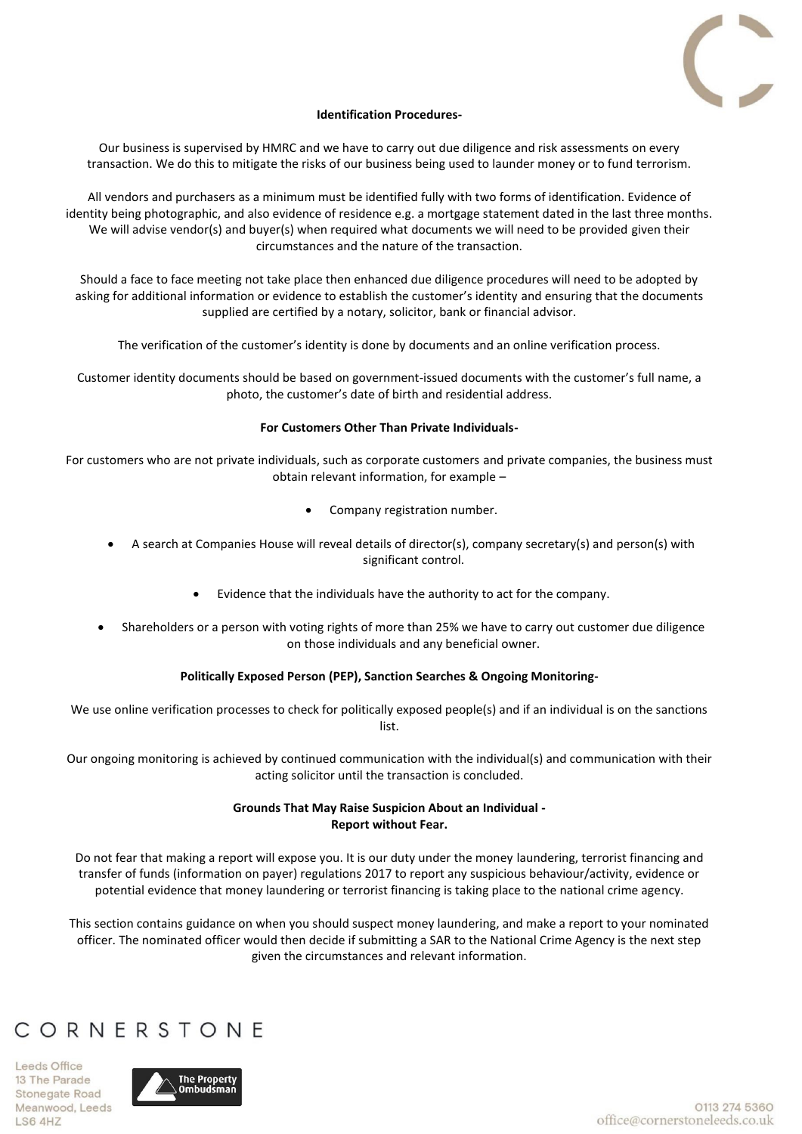

### **Identification Procedures-**

Our business is supervised by HMRC and we have to carry out due diligence and risk assessments on every transaction. We do this to mitigate the risks of our business being used to launder money or to fund terrorism.

All vendors and purchasers as a minimum must be identified fully with two forms of identification. Evidence of identity being photographic, and also evidence of residence e.g. a mortgage statement dated in the last three months. We will advise vendor(s) and buyer(s) when required what documents we will need to be provided given their circumstances and the nature of the transaction.

Should a face to face meeting not take place then enhanced due diligence procedures will need to be adopted by asking for additional information or evidence to establish the customer's identity and ensuring that the documents supplied are certified by a notary, solicitor, bank or financial advisor.

The verification of the customer's identity is done by documents and an online verification process.

Customer identity documents should be based on government-issued documents with the customer's full name, a photo, the customer's date of birth and residential address.

### **For Customers Other Than Private Individuals-**

For customers who are not private individuals, such as corporate customers and private companies, the business must obtain relevant information, for example –

- Company registration number.
- A search at Companies House will reveal details of director(s), company secretary(s) and person(s) with significant control.
	- Evidence that the individuals have the authority to act for the company.
- Shareholders or a person with voting rights of more than 25% we have to carry out customer due diligence on those individuals and any beneficial owner.

## **Politically Exposed Person (PEP), Sanction Searches & Ongoing Monitoring-**

We use online verification processes to check for politically exposed people(s) and if an individual is on the sanctions list.

Our ongoing monitoring is achieved by continued communication with the individual(s) and communication with their acting solicitor until the transaction is concluded.

## **Grounds That May Raise Suspicion About an Individual - Report without Fear.**

Do not fear that making a report will expose you. It is our duty under the money laundering, terrorist financing and transfer of funds (information on payer) regulations 2017 to report any suspicious behaviour/activity, evidence or potential evidence that money laundering or terrorist financing is taking place to the national crime agency.

This section contains guidance on when you should suspect money laundering, and make a report to your nominated officer. The nominated officer would then decide if submitting a SAR to the National Crime Agency is the next step given the circumstances and relevant information.

# CORNERSTONE

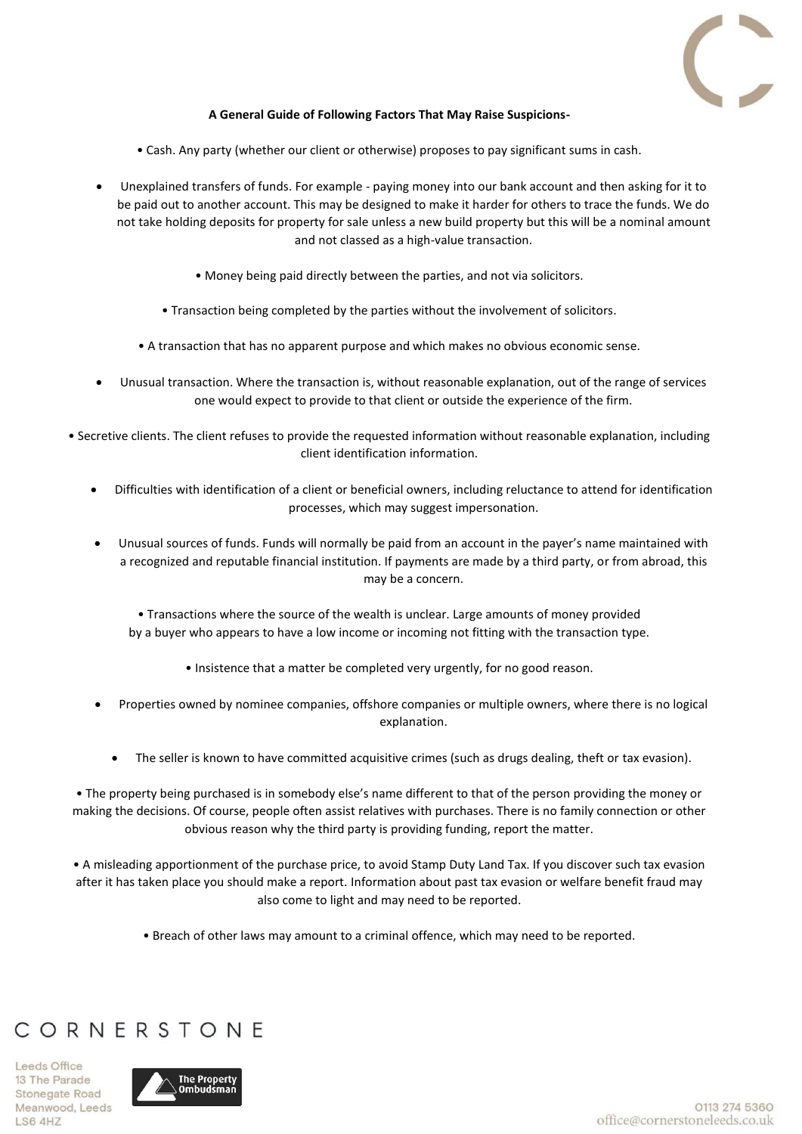

## **A General Guide of Following Factors That May Raise Suspicions-**

- Cash. Any party (whether our client or otherwise) proposes to pay significant sums in cash.
- Unexplained transfers of funds. For example paying money into our bank account and then asking for it to be paid out to another account. This may be designed to make it harder for others to trace the funds. We do not take holding deposits for property for sale unless a new build property but this will be a nominal amount and not classed as a high-value transaction.
	- Money being paid directly between the parties, and not via solicitors.
	- Transaction being completed by the parties without the involvement of solicitors.
	- A transaction that has no apparent purpose and which makes no obvious economic sense.
- Unusual transaction. Where the transaction is, without reasonable explanation, out of the range of services one would expect to provide to that client or outside the experience of the firm.
- Secretive clients. The client refuses to provide the requested information without reasonable explanation, including client identification information.
	- Difficulties with identification of a client or beneficial owners, including reluctance to attend for identification processes, which may suggest impersonation.
	- Unusual sources of funds. Funds will normally be paid from an account in the payer's name maintained with a recognized and reputable financial institution. If payments are made by a third party, or from abroad, this may be a concern.
		- Transactions where the source of the wealth is unclear. Large amounts of money provided by a buyer who appears to have a low income or incoming not fitting with the transaction type.
			- Insistence that a matter be completed very urgently, for no good reason.
	- Properties owned by nominee companies, offshore companies or multiple owners, where there is no logical explanation.
		- The seller is known to have committed acquisitive crimes (such as drugs dealing, theft or tax evasion).

• The property being purchased is in somebody else's name different to that of the person providing the money or making the decisions. Of course, people often assist relatives with purchases. There is no family connection or other obvious reason why the third party is providing funding, report the matter.

• A misleading apportionment of the purchase price, to avoid Stamp Duty Land Tax. If you discover such tax evasion after it has taken place you should make a report. Information about past tax evasion or welfare benefit fraud may also come to light and may need to be reported.

• Breach of other laws may amount to a criminal offence, which may need to be reported.

## CORNERSTONE

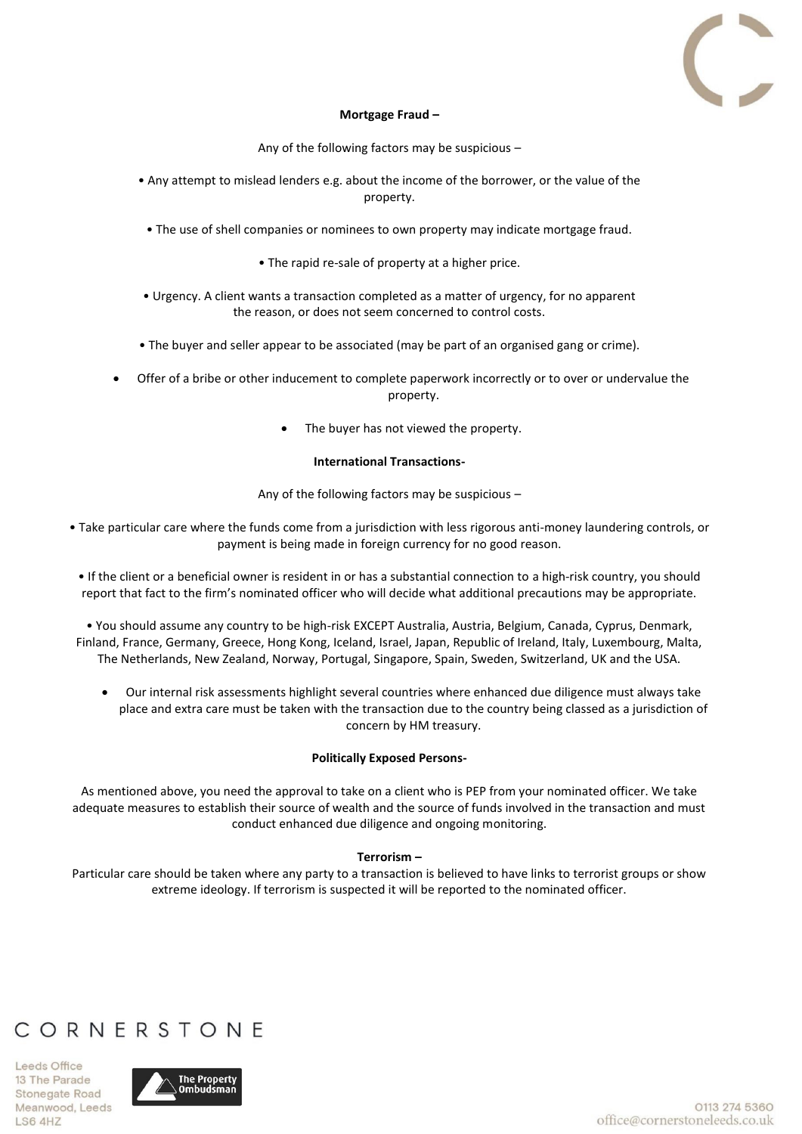

### **Mortgage Fraud –**

Any of the following factors may be suspicious –

- Any attempt to mislead lenders e.g. about the income of the borrower, or the value of the property.
	- The use of shell companies or nominees to own property may indicate mortgage fraud.
		- The rapid re-sale of property at a higher price.
- Urgency. A client wants a transaction completed as a matter of urgency, for no apparent the reason, or does not seem concerned to control costs.
- The buyer and seller appear to be associated (may be part of an organised gang or crime).
- Offer of a bribe or other inducement to complete paperwork incorrectly or to over or undervalue the property.
	- The buyer has not viewed the property.

### **International Transactions-**

Any of the following factors may be suspicious –

- Take particular care where the funds come from a jurisdiction with less rigorous anti-money laundering controls, or payment is being made in foreign currency for no good reason.
	- If the client or a beneficial owner is resident in or has a substantial connection to a high-risk country, you should report that fact to the firm's nominated officer who will decide what additional precautions may be appropriate.
- You should assume any country to be high-risk EXCEPT Australia, Austria, Belgium, Canada, Cyprus, Denmark, Finland, France, Germany, Greece, Hong Kong, Iceland, Israel, Japan, Republic of Ireland, Italy, Luxembourg, Malta, The Netherlands, New Zealand, Norway, Portugal, Singapore, Spain, Sweden, Switzerland, UK and the USA.
	- Our internal risk assessments highlight several countries where enhanced due diligence must always take place and extra care must be taken with the transaction due to the country being classed as a jurisdiction of concern by HM treasury.

## **Politically Exposed Persons-**

As mentioned above, you need the approval to take on a client who is PEP from your nominated officer. We take adequate measures to establish their source of wealth and the source of funds involved in the transaction and must conduct enhanced due diligence and ongoing monitoring.

## **Terrorism –**

Particular care should be taken where any party to a transaction is believed to have links to terrorist groups or show extreme ideology. If terrorism is suspected it will be reported to the nominated officer.

# CORNERSTONE